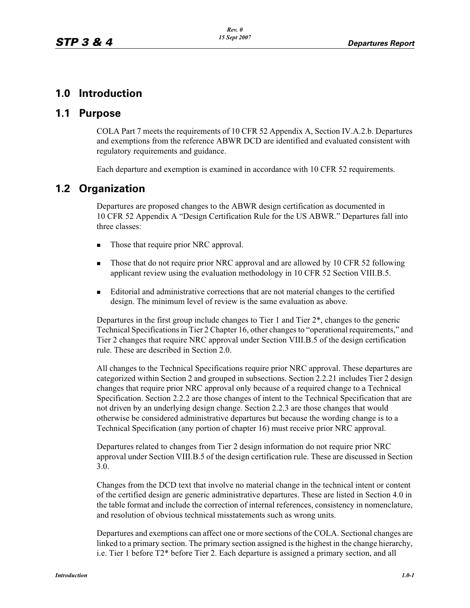### **1.0 Introduction**

#### **1.1 Purpose**

COLA Part 7 meets the requirements of 10 CFR 52 Appendix A, Section IV.A.2.b. Departures and exemptions from the reference ABWR DCD are identified and evaluated consistent with regulatory requirements and guidance.

Each departure and exemption is examined in accordance with 10 CFR 52 requirements.

# **1.2 Organization**

Departures are proposed changes to the ABWR design certification as documented in 10 CFR 52 Appendix A "Design Certification Rule for the US ABWR." Departures fall into three classes:

- -Those that require prior NRC approval.
- - Those that do not require prior NRC approval and are allowed by 10 CFR 52 following applicant review using the evaluation methodology in 10 CFR 52 Section VIII.B.5.
- - Editorial and administrative corrections that are not material changes to the certified design. The minimum level of review is the same evaluation as above.

Departures in the first group include changes to Tier 1 and Tier 2\*, changes to the generic Technical Specifications in Tier 2 Chapter 16, other changes to "operational requirements," and Tier 2 changes that require NRC approval under Section VIII.B.5 of the design certification rule. These are described in Section 2.0.

All changes to the Technical Specifications require prior NRC approval. These departures are categorized within Section 2 and grouped in subsections. Section 2.2.21 includes Tier 2 design changes that require prior NRC approval only because of a required change to a Technical Specification. Section 2.2.2 are those changes of intent to the Technical Specification that are not driven by an underlying design change. Section 2.2.3 are those changes that would otherwise be considered administrative departures but because the wording change is to a Technical Specification (any portion of chapter 16) must receive prior NRC approval.

Departures related to changes from Tier 2 design information do not require prior NRC approval under Section VIII.B.5 of the design certification rule. These are discussed in Section 3.0.

Changes from the DCD text that involve no material change in the technical intent or content of the certified design are generic administrative departures. These are listed in Section 4.0 in the table format and include the correction of internal references, consistency in nomenclature, and resolution of obvious technical misstatements such as wrong units.

Departures and exemptions can affect one or more sections of the COLA. Sectional changes are linked to a primary section. The primary section assigned is the highest in the change hierarchy, i.e. Tier 1 before T2\* before Tier 2. Each departure is assigned a primary section, and all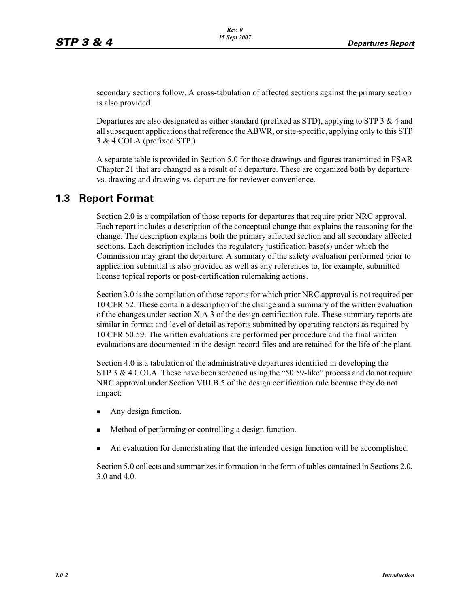secondary sections follow. A cross-tabulation of affected sections against the primary section is also provided.

Departures are also designated as either standard (prefixed as STD), applying to STP 3 & 4 and all subsequent applications that reference the ABWR, or site-specific, applying only to this STP 3 & 4 COLA (prefixed STP.)

A separate table is provided in Section 5.0 for those drawings and figures transmitted in FSAR Chapter 21 that are changed as a result of a departure. These are organized both by departure vs. drawing and drawing vs. departure for reviewer convenience.

#### **1.3 Report Format**

Section 2.0 is a compilation of those reports for departures that require prior NRC approval. Each report includes a description of the conceptual change that explains the reasoning for the change. The description explains both the primary affected section and all secondary affected sections. Each description includes the regulatory justification base(s) under which the Commission may grant the departure. A summary of the safety evaluation performed prior to application submittal is also provided as well as any references to, for example, submitted license topical reports or post-certification rulemaking actions.

Section 3.0 is the compilation of those reports for which prior NRC approval is not required per 10 CFR 52. These contain a description of the change and a summary of the written evaluation of the changes under section X.A.3 of the design certification rule. These summary reports are similar in format and level of detail as reports submitted by operating reactors as required by 10 CFR 50.59. The written evaluations are performed per procedure and the final written evaluations are documented in the design record files and are retained for the life of the plant*.*

Section 4.0 is a tabulation of the administrative departures identified in developing the STP 3  $&$  4 COLA. These have been screened using the "50.59-like" process and do not require NRC approval under Section VIII.B.5 of the design certification rule because they do not impact:

- -Any design function.
- -Method of performing or controlling a design function.
- -An evaluation for demonstrating that the intended design function will be accomplished.

Section 5.0 collects and summarizes information in the form of tables contained in Sections 2.0, 3.0 and 4.0.